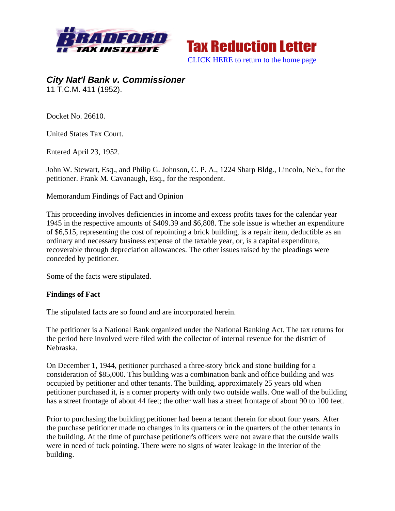



*City Nat'l Bank v. Commissioner*  11 T.C.M. 411 (1952).

Docket No. 26610.

United States Tax Court.

Entered April 23, 1952.

John W. Stewart, Esq., and Philip G. Johnson, C. P. A., 1224 Sharp Bldg., Lincoln, Neb., for the petitioner. Frank M. Cavanaugh, Esq., for the respondent.

Memorandum Findings of Fact and Opinion

This proceeding involves deficiencies in income and excess profits taxes for the calendar year 1945 in the respective amounts of \$409.39 and \$6,808. The sole issue is whether an expenditure of \$6,515, representing the cost of repointing a brick building, is a repair item, deductible as an ordinary and necessary business expense of the taxable year, or, is a capital expenditure, recoverable through depreciation allowances. The other issues raised by the pleadings were conceded by petitioner.

Some of the facts were stipulated.

## **Findings of Fact**

The stipulated facts are so found and are incorporated herein.

The petitioner is a National Bank organized under the National Banking Act. The tax returns for the period here involved were filed with the collector of internal revenue for the district of Nebraska.

On December 1, 1944, petitioner purchased a three-story brick and stone building for a consideration of \$85,000. This building was a combination bank and office building and was occupied by petitioner and other tenants. The building, approximately 25 years old when petitioner purchased it, is a corner property with only two outside walls. One wall of the building has a street frontage of about 44 feet; the other wall has a street frontage of about 90 to 100 feet.

Prior to purchasing the building petitioner had been a tenant therein for about four years. After the purchase petitioner made no changes in its quarters or in the quarters of the other tenants in the building. At the time of purchase petitioner's officers were not aware that the outside walls were in need of tuck pointing. There were no signs of water leakage in the interior of the building.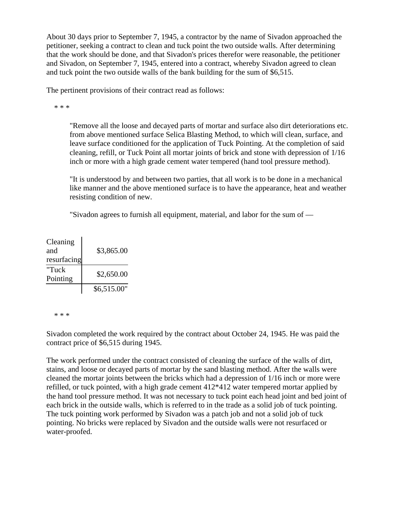About 30 days prior to September 7, 1945, a contractor by the name of Sivadon approached the petitioner, seeking a contract to clean and tuck point the two outside walls. After determining that the work should be done, and that Sivadon's prices therefor were reasonable, the petitioner and Sivadon, on September 7, 1945, entered into a contract, whereby Sivadon agreed to clean and tuck point the two outside walls of the bank building for the sum of \$6,515.

The pertinent provisions of their contract read as follows:

\* \* \*

"Remove all the loose and decayed parts of mortar and surface also dirt deteriorations etc. from above mentioned surface Selica Blasting Method, to which will clean, surface, and leave surface conditioned for the application of Tuck Pointing. At the completion of said cleaning, refill, or Tuck Point all mortar joints of brick and stone with depression of 1/16 inch or more with a high grade cement water tempered (hand tool pressure method).

"It is understood by and between two parties, that all work is to be done in a mechanical like manner and the above mentioned surface is to have the appearance, heat and weather resisting condition of new.

"Sivadon agrees to furnish all equipment, material, and labor for the sum of —

| Cleaning    |             |
|-------------|-------------|
| and         | \$3,865.00  |
| resurfacing |             |
| "Tuck       | \$2,650.00  |
| Pointing    |             |
|             | \$6,515.00" |

\* \* \*

Sivadon completed the work required by the contract about October 24, 1945. He was paid the contract price of \$6,515 during 1945.

The work performed under the contract consisted of cleaning the surface of the walls of dirt, stains, and loose or decayed parts of mortar by the sand blasting method. After the walls were cleaned the mortar joints between the bricks which had a depression of 1/16 inch or more were refilled, or tuck pointed, with a high grade cement 412\*412 water tempered mortar applied by the hand tool pressure method. It was not necessary to tuck point each head joint and bed joint of each brick in the outside walls, which is referred to in the trade as a solid job of tuck pointing. The tuck pointing work performed by Sivadon was a patch job and not a solid job of tuck pointing. No bricks were replaced by Sivadon and the outside walls were not resurfaced or water-proofed.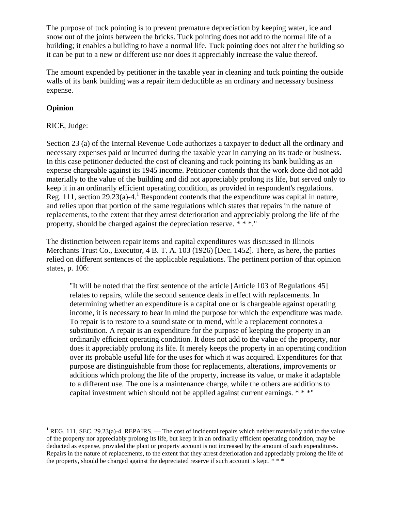The purpose of tuck pointing is to prevent premature depreciation by keeping water, ice and snow out of the joints between the bricks. Tuck pointing does not add to the normal life of a building; it enables a building to have a normal life. Tuck pointing does not alter the building so it can be put to a new or different use nor does it appreciably increase the value thereof.

The amount expended by petitioner in the taxable year in cleaning and tuck pointing the outside walls of its bank building was a repair item deductible as an ordinary and necessary business expense.

## **Opinion**

 $\overline{a}$ 

## RICE, Judge:

Section 23 (a) of the Internal Revenue Code authorizes a taxpayer to deduct all the ordinary and necessary expenses paid or incurred during the taxable year in carrying on its trade or business. In this case petitioner deducted the cost of cleaning and tuck pointing its bank building as an expense chargeable against its 1945 income. Petitioner contends that the work done did not add materially to the value of the building and did not appreciably prolong its life, but served only to keep it in an ordinarily efficient operating condition, as provided in respondent's regulations. Reg. 111, section 29.23(a)-4.<sup>1</sup> Respondent contends that the expenditure was capital in nature, and relies upon that portion of the same regulations which states that repairs in the nature of replacements, to the extent that they arrest deterioration and appreciably prolong the life of the property, should be charged against the depreciation reserve. \* \* \*."

The distinction between repair items and capital expenditures was discussed in Illinois Merchants Trust Co., Executor, 4 B. T. A. 103 (1926) [Dec. 1452]. There, as here, the parties relied on different sentences of the applicable regulations. The pertinent portion of that opinion states, p. 106:

"It will be noted that the first sentence of the article [Article 103 of Regulations 45] relates to repairs, while the second sentence deals in effect with replacements. In determining whether an expenditure is a capital one or is chargeable against operating income, it is necessary to bear in mind the purpose for which the expenditure was made. To repair is to restore to a sound state or to mend, while a replacement connotes a substitution. A repair is an expenditure for the purpose of keeping the property in an ordinarily efficient operating condition. It does not add to the value of the property, nor does it appreciably prolong its life. It merely keeps the property in an operating condition over its probable useful life for the uses for which it was acquired. Expenditures for that purpose are distinguishable from those for replacements, alterations, improvements or additions which prolong the life of the property, increase its value, or make it adaptable to a different use. The one is a maintenance charge, while the others are additions to capital investment which should not be applied against current earnings. \* \* \*"

<sup>&</sup>lt;sup>1</sup> REG. 111, SEC. 29.23(a)-4. REPAIRS. — The cost of incidental repairs which neither materially add to the value of the property nor appreciably prolong its life, but keep it in an ordinarily efficient operating condition, may be deducted as expense, provided the plant or property account is not increased by the amount of such expenditures. Repairs in the nature of replacements, to the extent that they arrest deterioration and appreciably prolong the life of the property, should be charged against the depreciated reserve if such account is kept. \*\*\*